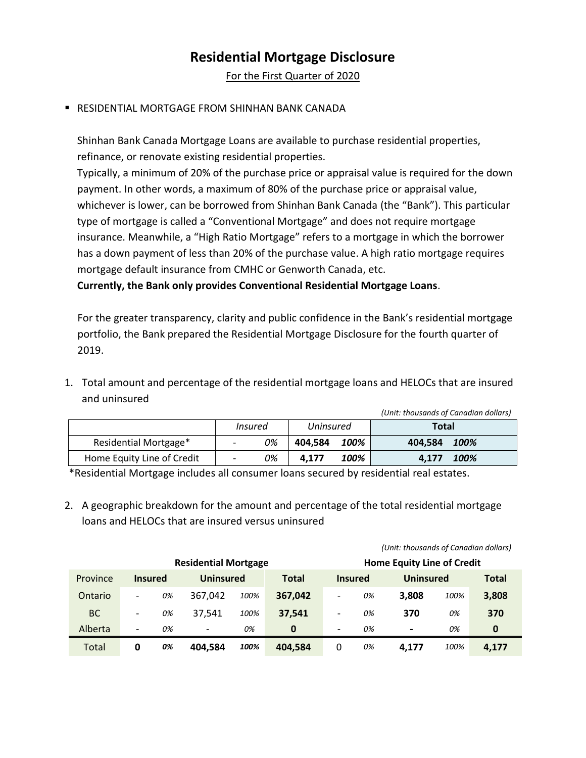## **Residential Mortgage Disclosure**

For the First Quarter of 2020

## RESIDENTIAL MORTGAGE FROM SHINHAN BANK CANADA

Shinhan Bank Canada Mortgage Loans are available to purchase residential properties, refinance, or renovate existing residential properties.

Typically, a minimum of 20% of the purchase price or appraisal value is required for the down payment. In other words, a maximum of 80% of the purchase price or appraisal value, whichever is lower, can be borrowed from Shinhan Bank Canada (the "Bank"). This particular type of mortgage is called a "Conventional Mortgage" and does not require mortgage insurance. Meanwhile, a "High Ratio Mortgage" refers to a mortgage in which the borrower has a down payment of less than 20% of the purchase value. A high ratio mortgage requires mortgage default insurance from CMHC or Genworth Canada, etc.

**Currently, the Bank only provides Conventional Residential Mortgage Loans**.

For the greater transparency, clarity and public confidence in the Bank's residential mortgage portfolio, the Bank prepared the Residential Mortgage Disclosure for the fourth quarter of 2019.

1. Total amount and percentage of the residential mortgage loans and HELOCs that are insured and uninsured

|                            |                          |    |           |      | (Unit: thousands of Canadian dollars) |      |
|----------------------------|--------------------------|----|-----------|------|---------------------------------------|------|
|                            | Insured                  |    | Uninsured |      | Total                                 |      |
| Residential Mortgage*      | $\overline{\phantom{a}}$ | 0% | 404.584   | 100% | 404.584                               | 100% |
| Home Equity Line of Credit | $\overline{\phantom{a}}$ | 0% | 4.177     | 100% | 4.177                                 | 100% |

\*Residential Mortgage includes all consumer loans secured by residential real estates.

2. A geographic breakdown for the amount and percentage of the total residential mortgage loans and HELOCs that are insured versus uninsured

|                             |                          |    |                          |      |              |                          |                                   | onna anousunus of cunuulun uolluis) |      |              |
|-----------------------------|--------------------------|----|--------------------------|------|--------------|--------------------------|-----------------------------------|-------------------------------------|------|--------------|
| <b>Residential Mortgage</b> |                          |    |                          |      |              |                          | <b>Home Equity Line of Credit</b> |                                     |      |              |
| Province                    | <b>Insured</b>           |    | <b>Uninsured</b>         |      | <b>Total</b> |                          | <b>Insured</b>                    | <b>Uninsured</b>                    |      | <b>Total</b> |
| Ontario                     | $\overline{\phantom{a}}$ | 0% | 367.042                  | 100% | 367,042      | $\overline{\phantom{a}}$ | 0%                                | 3.808                               | 100% | 3,808        |
| <b>BC</b>                   | $\overline{\phantom{a}}$ | 0% | 37.541                   | 100% | 37.541       | $\overline{\phantom{a}}$ | 0%                                | 370                                 | 0%   | 370          |
| Alberta                     | $\overline{\phantom{0}}$ | 0% | $\overline{\phantom{a}}$ | 0%   | 0            | $\overline{\phantom{a}}$ | 0%                                | $\overline{\phantom{0}}$            | 0%   | 0            |
| Total                       | 0                        | 0% | 404.584                  | 100% | 404.584      | 0                        | 0%                                | 4.177                               | 100% | 4,177        |

*(Unit: thousands of Canadian dollars)*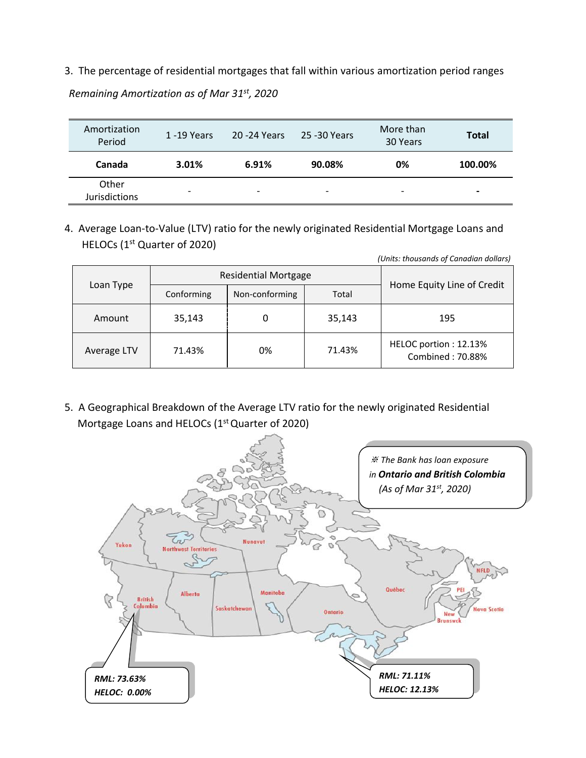3. The percentage of residential mortgages that fall within various amortization period ranges

*Remaining Amortization as of Mar 31 st , 2020*

| Amortization<br>Period        | 1 -19 Years | 20 - 24 Years            | 25 -30 Years             | More than<br>30 Years    | <b>Total</b>   |
|-------------------------------|-------------|--------------------------|--------------------------|--------------------------|----------------|
| Canada                        | 3.01%       | 6.91%                    | 90.08%                   | 0%                       | 100.00%        |
| Other<br><b>Jurisdictions</b> | -           | $\overline{\phantom{0}}$ | $\overline{\phantom{0}}$ | $\overline{\phantom{0}}$ | $\blacksquare$ |

4. Average Loan-to-Value (LTV) ratio for the newly originated Residential Mortgage Loans and HELOCs (1st Quarter of 2020)

| (Units: thousands of Canadian dollars) |            |                             |        |                                           |  |  |  |
|----------------------------------------|------------|-----------------------------|--------|-------------------------------------------|--|--|--|
|                                        |            | <b>Residential Mortgage</b> |        |                                           |  |  |  |
| Loan Type                              | Conforming | Non-conforming              | Total  | Home Equity Line of Credit                |  |  |  |
| Amount                                 | 35,143     |                             | 35,143 | 195                                       |  |  |  |
| Average LTV                            | 71.43%     | 0%                          | 71.43% | HELOC portion: 12.13%<br>Combined: 70.88% |  |  |  |

5. A Geographical Breakdown of the Average LTV ratio for the newly originated Residential Mortgage Loans and HELOCs (1<sup>st</sup> Quarter of 2020)